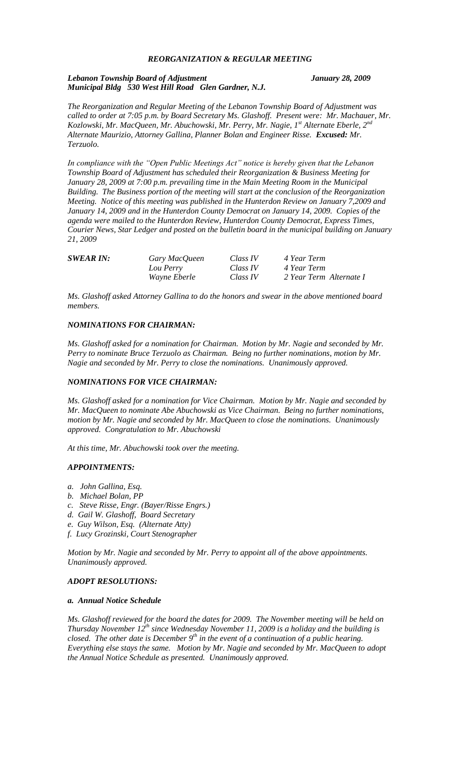# *REORGANIZATION & REGULAR MEETING*

## *Lebanon Township Board of Adjustment January 28, 2009 Municipal Bldg 530 West Hill Road Glen Gardner, N.J.*

*The Reorganization and Regular Meeting of the Lebanon Township Board of Adjustment was called to order at 7:05 p.m. by Board Secretary Ms. Glashoff. Present were: Mr. Machauer, Mr. Kozlowski, Mr. MacQueen, Mr. Abuchowski, Mr. Perry, Mr. Nagie, 1st Alternate Eberle, 2nd Alternate Maurizio, Attorney Gallina, Planner Bolan and Engineer Risse. Excused: Mr. Terzuolo.*

*In compliance with the "Open Public Meetings Act" notice is hereby given that the Lebanon Township Board of Adjustment has scheduled their Reorganization & Business Meeting for January 28, 2009 at 7:00 p.m. prevailing time in the Main Meeting Room in the Municipal Building. The Business portion of the meeting will start at the conclusion of the Reorganization Meeting. Notice of this meeting was published in the Hunterdon Review on January 7,2009 and January 14, 2009 and in the Hunterdon County Democrat on January 14, 2009. Copies of the agenda were mailed to the Hunterdon Review, Hunterdon County Democrat, Express Times, Courier News, Star Ledger and posted on the bulletin board in the municipal building on January 21, 2009*

| <b>SWEAR IN:</b> | Gary MacQueen       | Class IV | 4 Year Term             |
|------------------|---------------------|----------|-------------------------|
|                  | Lou Perry           | Class IV | 4 Year Term             |
|                  | <i>Wayne Eberle</i> | Class IV | 2 Year Term Alternate I |

*Ms. Glashoff asked Attorney Gallina to do the honors and swear in the above mentioned board members.* 

# *NOMINATIONS FOR CHAIRMAN:*

*Ms. Glashoff asked for a nomination for Chairman. Motion by Mr. Nagie and seconded by Mr. Perry to nominate Bruce Terzuolo as Chairman. Being no further nominations, motion by Mr. Nagie and seconded by Mr. Perry to close the nominations. Unanimously approved.*

## *NOMINATIONS FOR VICE CHAIRMAN:*

*Ms. Glashoff asked for a nomination for Vice Chairman. Motion by Mr. Nagie and seconded by Mr. MacQueen to nominate Abe Abuchowski as Vice Chairman. Being no further nominations, motion by Mr. Nagie and seconded by Mr. MacQueen to close the nominations. Unanimously approved. Congratulation to Mr. Abuchowski*

*At this time, Mr. Abuchowski took over the meeting.*

## *APPOINTMENTS:*

- *a. John Gallina, Esq.*
- *b. Michael Bolan, PP*
- *c. Steve Risse, Engr. (Bayer/Risse Engrs.)*
- *d. Gail W. Glashoff, Board Secretary*
- *e. Guy Wilson, Esq. (Alternate Atty)*
- *f. Lucy Grozinski, Court Stenographer*

*Motion by Mr. Nagie and seconded by Mr. Perry to appoint all of the above appointments. Unanimously approved.*

# *ADOPT RESOLUTIONS:*

## *a. Annual Notice Schedule*

*Ms. Glashoff reviewed for the board the dates for 2009. The November meeting will be held on Thursday November 12th since Wednesday November 11, 2009 is a holiday and the building is closed. The other date is December 9th in the event of a continuation of a public hearing. Everything else stays the same. Motion by Mr. Nagie and seconded by Mr. MacQueen to adopt the Annual Notice Schedule as presented. Unanimously approved.*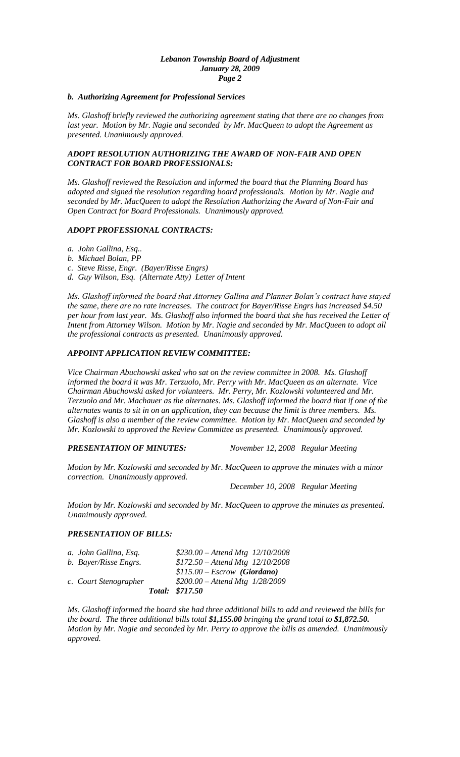## *Lebanon Township Board of Adjustment January 28, 2009 Page 2*

## *b. Authorizing Agreement for Professional Services*

*Ms. Glashoff briefly reviewed the authorizing agreement stating that there are no changes from last year. Motion by Mr. Nagie and seconded by Mr. MacQueen to adopt the Agreement as presented. Unanimously approved.*

# *ADOPT RESOLUTION AUTHORIZING THE AWARD OF NON-FAIR AND OPEN CONTRACT FOR BOARD PROFESSIONALS:*

*Ms. Glashoff reviewed the Resolution and informed the board that the Planning Board has adopted and signed the resolution regarding board professionals. Motion by Mr. Nagie and seconded by Mr. MacQueen to adopt the Resolution Authorizing the Award of Non-Fair and Open Contract for Board Professionals. Unanimously approved.*

# *ADOPT PROFESSIONAL CONTRACTS:*

- *a. John Gallina, Esq..*
- *b. Michael Bolan, PP*
- *c. Steve Risse, Engr. (Bayer/Risse Engrs)*
- *d. Guy Wilson, Esq. (Alternate Atty) Letter of Intent*

*Ms. Glashoff informed the board that Attorney Gallina and Planner Bolan's contract have stayed the same, there are no rate increases. The contract for Bayer/Risse Engrs has increased \$4.50 per hour from last year. Ms. Glashoff also informed the board that she has received the Letter of Intent from Attorney Wilson. Motion by Mr. Nagie and seconded by Mr. MacQueen to adopt all the professional contracts as presented. Unanimously approved.*

# *APPOINT APPLICATION REVIEW COMMITTEE:*

*Vice Chairman Abuchowski asked who sat on the review committee in 2008. Ms. Glashoff informed the board it was Mr. Terzuolo, Mr. Perry with Mr. MacQueen as an alternate. Vice Chairman Abuchowski asked for volunteers. Mr. Perry, Mr. Kozlowski volunteered and Mr. Terzuolo and Mr. Machauer as the alternates. Ms. Glashoff informed the board that if one of the alternates wants to sit in on an application, they can because the limit is three members. Ms. Glashoff is also a member of the review committee. Motion by Mr. MacQueen and seconded by Mr. Kozlowski to approved the Review Committee as presented. Unanimously approved.*

*PRESENTATION OF MINUTES: November 12, 2008 Regular Meeting*

*Motion by Mr. Kozlowski and seconded by Mr. MacQueen to approve the minutes with a minor correction. Unanimously approved.*

*December 10, 2008 Regular Meeting*

*Motion by Mr. Kozlowski and seconded by Mr. MacQueen to approve the minutes as presented. Unanimously approved.*

# *PRESENTATION OF BILLS:*

| a. John Gallina, Esq. | $$230.00 - Attend Mtg$ 12/10/2008   |
|-----------------------|-------------------------------------|
| b. Bayer/Risse Engrs. | $$172.50 - Attend Mtg$ $12/10/2008$ |
|                       | $$115.00 - Escrow$ (Giordano)       |
| c. Court Stenographer | $$200.00 - Attend Mtg$ 1/28/2009    |
|                       | Total: \$717.50                     |

*Ms. Glashoff informed the board she had three additional bills to add and reviewed the bills for the board. The three additional bills total \$1,155.00 bringing the grand total to \$1,872.50. Motion by Mr. Nagie and seconded by Mr. Perry to approve the bills as amended. Unanimously approved.*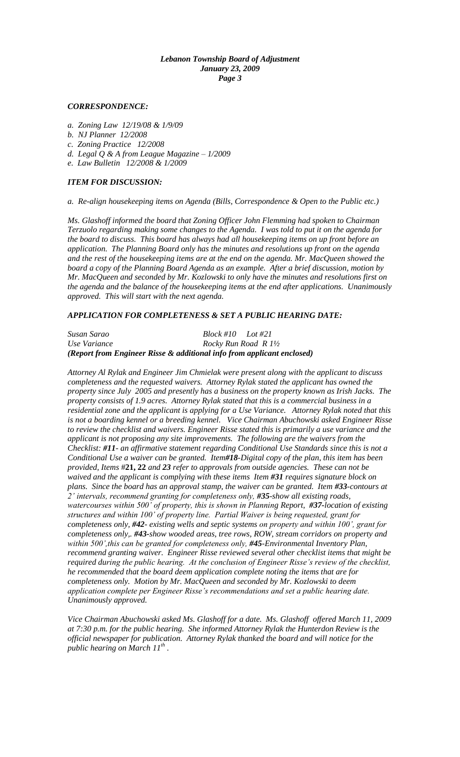## *Lebanon Township Board of Adjustment January 23, 2009 Page 3*

## *CORRESPONDENCE:*

- *a. Zoning Law 12/19/08 & 1/9/09*
- *b. NJ Planner 12/2008*
- *c. Zoning Practice 12/2008*
- *d. Legal Q & A from League Magazine – 1/2009*
- *e. Law Bulletin 12/2008 & 1/2009*

# *ITEM FOR DISCUSSION:*

## *a. Re-align housekeeping items on Agenda (Bills, Correspondence & Open to the Public etc.)*

*Ms. Glashoff informed the board that Zoning Officer John Flemming had spoken to Chairman Terzuolo regarding making some changes to the Agenda. I was told to put it on the agenda for the board to discuss. This board has always had all housekeeping items on up front before an application. The Planning Board only has the minutes and resolutions up front on the agenda and the rest of the housekeeping items are at the end on the agenda. Mr. MacQueen showed the board a copy of the Planning Board Agenda as an example. After a brief discussion, motion by Mr. MacQueen and seconded by Mr. Kozlowski to only have the minutes and resolutions first on the agenda and the balance of the housekeeping items at the end after applications. Unanimously approved. This will start with the next agenda.*

# *APPLICATION FOR COMPLETENESS & SET A PUBLIC HEARING DATE:*

# *Susan Sarao Block #10 Lot #21 Use Variance* Rocky Run Road R  $1\frac{1}{2}$ *(Report from Engineer Risse & additional info from applicant enclosed)*

*Attorney Al Rylak and Engineer Jim Chmielak were present along with the applicant to discuss completeness and the requested waivers. Attorney Rylak stated the applicant has owned the property since July 2005 and presently has a business on the property known as Irish Jacks. The property consists of 1.9 acres. Attorney Rylak stated that this is a commercial business in a residential zone and the applicant is applying for a Use Variance. Attorney Rylak noted that this is not a boarding kennel or a breeding kennel. Vice Chairman Abuchowski asked Engineer Risse to review the checklist and waivers. Engineer Risse stated this is primarily a use variance and the applicant is not proposing any site improvements. The following are the waivers from the Checklist: #11- an affirmative statement regarding Conditional Use Standards since this is not a Conditional Use a waiver can be granted. Item#18-Digital copy of the plan, this item has been provided, Items* #**21, 22** *and 23 refer to approvals from outside agencies. These can not be waived and the applicant is complying with these items Item #31 requires signature block on plans. Since the board has an approval stamp, the waiver can be granted. Item #33-contours at 2' intervals, recommend granting for completeness only, #35-show all existing roads, watercourses within 500' of property, this is shown in Planning Report, #37-location of existing structures and within 100' of property line. Partial Waiver is being requested, grant for completeness only, #42- existing wells and septic systems on property and within 100', grant for completeness only,. #43-show wooded areas, tree rows, ROW, stream corridors on property and within 500',this can be granted for completeness only, #45-Environmental Inventory Plan, recommend granting waiver. Engineer Risse reviewed several other checklist items that might be required during the public hearing. At the conclusion of Engineer Risse's review of the checklist, he recommended that the board deem application complete noting the items that are for completeness only. Motion by Mr. MacQueen and seconded by Mr. Kozlowski to deem application complete per Engineer Risse's recommendations and set a public hearing date. Unanimously approved.*

*Vice Chairman Abuchowski asked Ms. Glashoff for a date. Ms. Glashoff offered March 11, 2009 at 7:30 p.m. for the public hearing. She informed Attorney Rylak the Hunterdon Review is the official newspaper for publication. Attorney Rylak thanked the board and will notice for the public hearing on March 11th .*